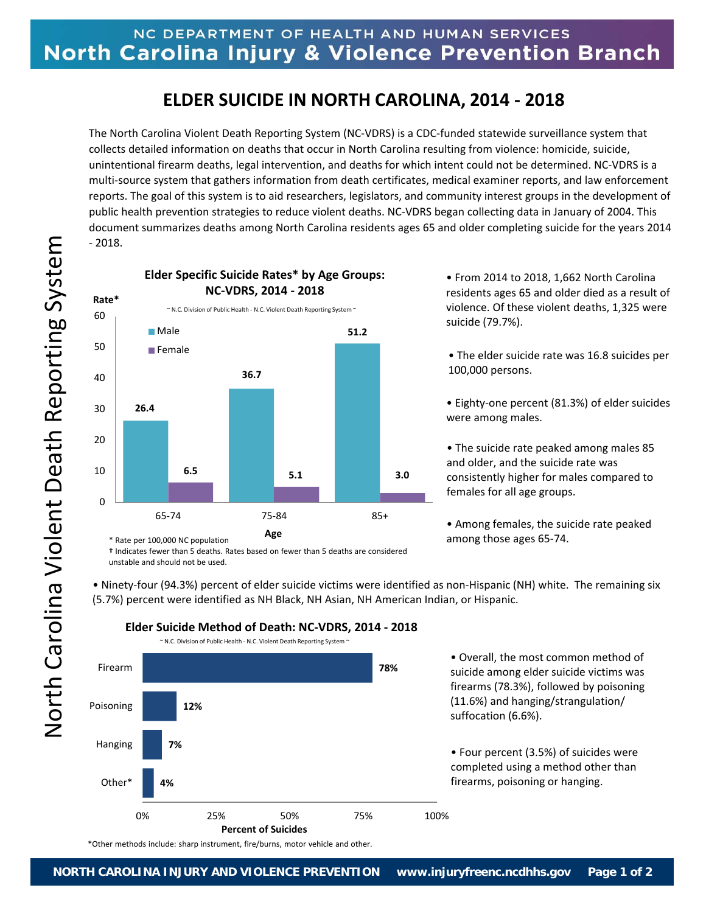## **ELDER SUICIDE IN NORTH CAROLINA, 2014 ‐ 2018**

The North Carolina Violent Death Reporting System (NC‐VDRS) is a CDC‐funded statewide surveillance system that collects detailed information on deaths that occur in North Carolina resulting from violence: homicide, suicide, unintentional firearm deaths, legal intervention, and deaths for which intent could not be determined. NC‐VDRS is a multi‐source system that gathers information from death certificates, medical examiner reports, and law enforcement reports. The goal of this system is to aid researchers, legislators, and community interest groups in the development of public health prevention strategies to reduce violent deaths. NC‐VDRS began collecting data in January of 2004. This document summarizes deaths among North Carolina residents ages 65 and older completing suicide for the years 2014 ‐ 2018.



• From 2014 to 2018, 1,662 North Carolina residents ages 65 and older died as a result of violence. Of these violent deaths, 1,325 were suicide (79.7%).

• The elder suicide rate was 16.8 suicides per 100,000 persons.

• Eighty‐one percent (81.3%) of elder suicides were among males.

• The suicide rate peaked among males 85 and older, and the suicide rate was consistently higher for males compared to females for all age groups.

• Among females, the suicide rate peaked among those ages 65‐74.

**†** Indicates fewer than 5 deaths. Rates based on fewer than 5 deaths are considered unstable and should not be used.

• Ninety‐four (94.3%) percent of elder suicide victims were identified as non‐Hispanic (NH) white. The remaining six (5.7%) percent were identified as NH Black, NH Asian, NH American Indian, or Hispanic.



**Elder Suicide Method of Death: NC‐VDRS, 2014 ‐ 2018**

• Overall, the most common method of suicide among elder suicide victims was firearms (78.3%), followed by poisoning (11.6%) and hanging/strangulation/ suffocation (6.6%).

• Four percent (3.5%) of suicides were completed using a method other than firearms, poisoning or hanging.

\*Other methods include: sharp instrument, fire/burns, motor vehicle and other.